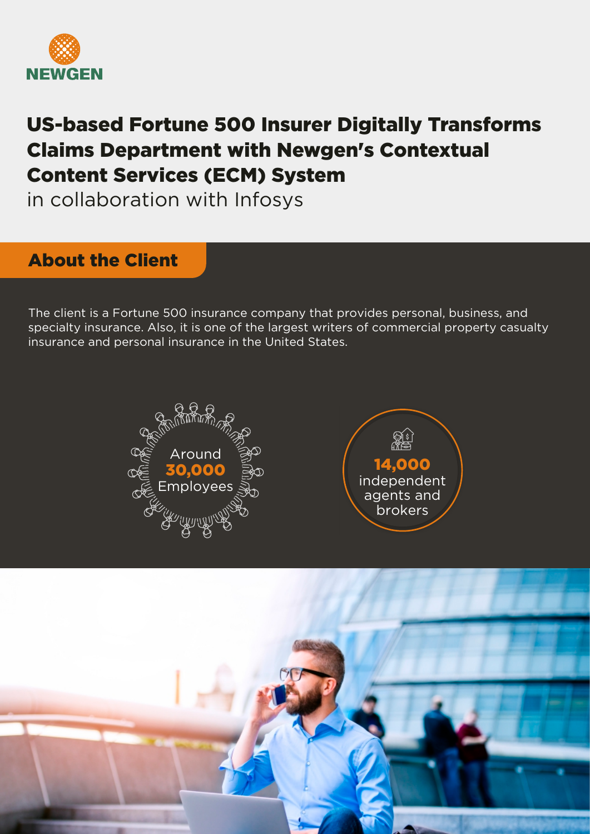

# US-based Fortune 500 Insurer Digitally Transforms Claims Department with Newgen's Contextual Content Services (ECM) System

in collaboration with Infosys

# About the Client

The client is a Fortune 500 insurance company that provides personal, business, and specialty insurance. Also, it is one of the largest writers of commercial property casualty insurance and personal insurance in the United States.





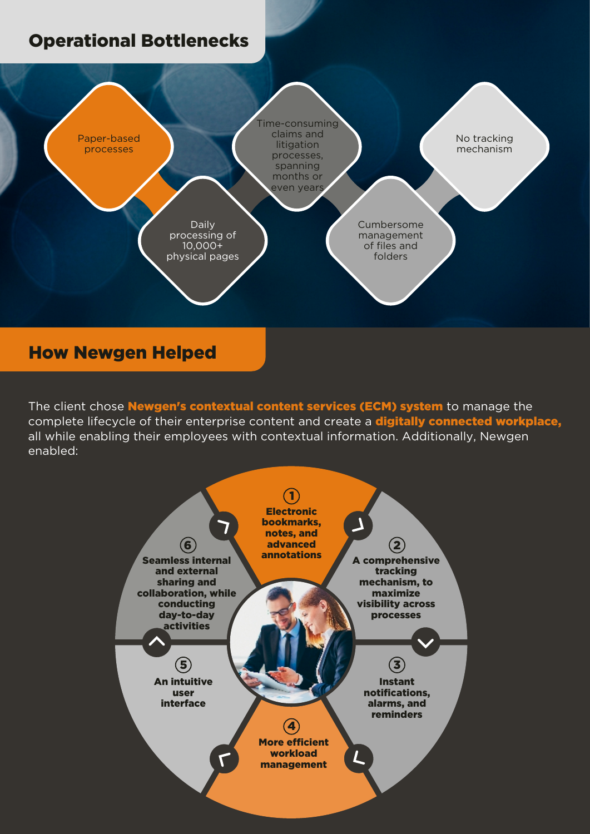# Operational Bottlenecks



### How Newgen Helped

The client chose **Newgen's contextual content services (ECM) system** to manage the complete lifecycle of their enterprise content and create a **digitally connected workplace**, all while enabling their employees with contextual information. Additionally, Newgen enabled: